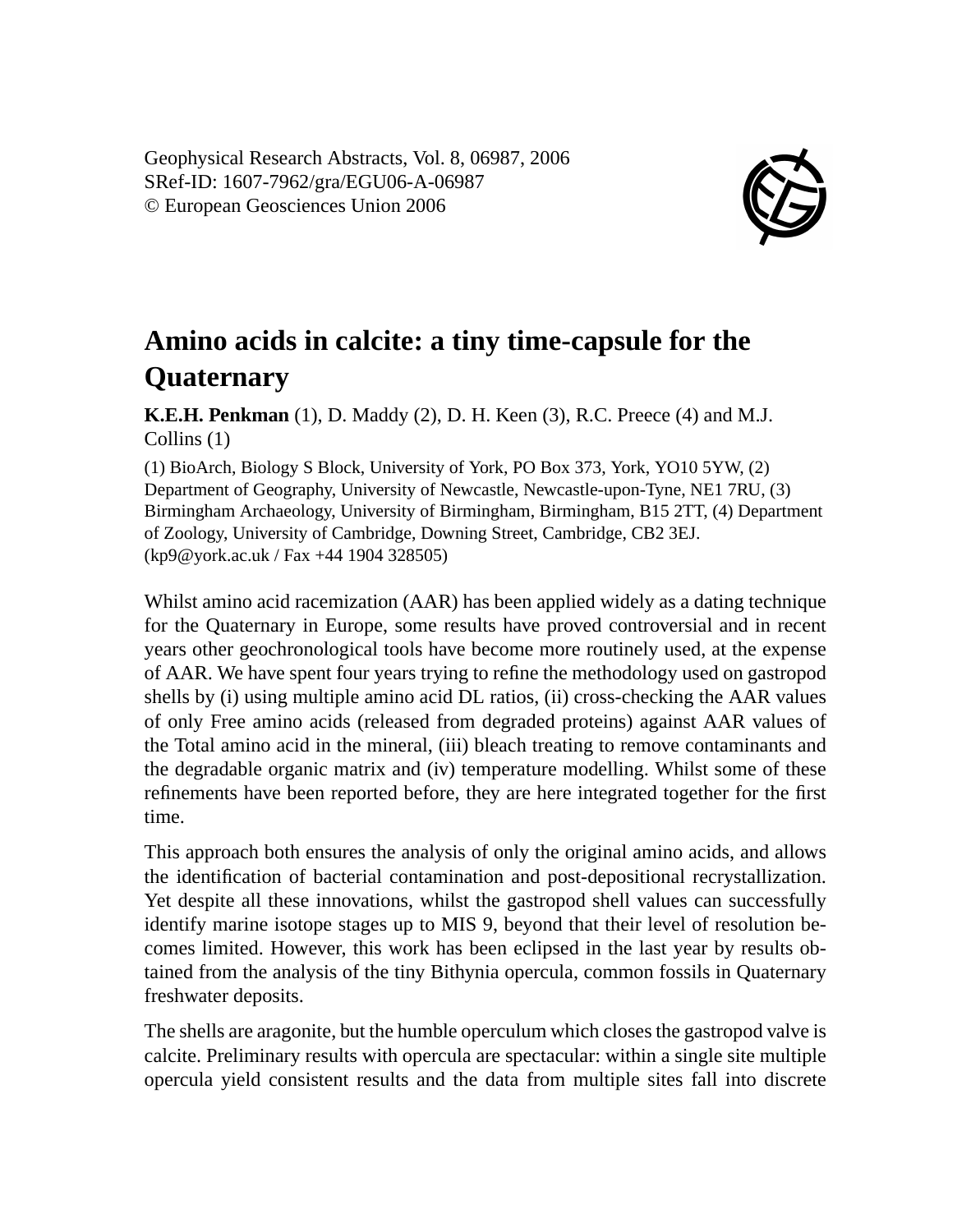Geophysical Research Abstracts, Vol. 8, 06987, 2006 SRef-ID: 1607-7962/gra/EGU06-A-06987 © European Geosciences Union 2006



## **Amino acids in calcite: a tiny time-capsule for the Quaternary**

**K.E.H. Penkman** (1), D. Maddy (2), D. H. Keen (3), R.C. Preece (4) and M.J. Collins (1)

(1) BioArch, Biology S Block, University of York, PO Box 373, York, YO10 5YW, (2) Department of Geography, University of Newcastle, Newcastle-upon-Tyne, NE1 7RU, (3) Birmingham Archaeology, University of Birmingham, Birmingham, B15 2TT, (4) Department of Zoology, University of Cambridge, Downing Street, Cambridge, CB2 3EJ. (kp9@york.ac.uk / Fax +44 1904 328505)

Whilst amino acid racemization (AAR) has been applied widely as a dating technique for the Quaternary in Europe, some results have proved controversial and in recent years other geochronological tools have become more routinely used, at the expense of AAR. We have spent four years trying to refine the methodology used on gastropod shells by (i) using multiple amino acid DL ratios, (ii) cross-checking the AAR values of only Free amino acids (released from degraded proteins) against AAR values of the Total amino acid in the mineral, (iii) bleach treating to remove contaminants and the degradable organic matrix and (iv) temperature modelling. Whilst some of these refinements have been reported before, they are here integrated together for the first time.

This approach both ensures the analysis of only the original amino acids, and allows the identification of bacterial contamination and post-depositional recrystallization. Yet despite all these innovations, whilst the gastropod shell values can successfully identify marine isotope stages up to MIS 9, beyond that their level of resolution becomes limited. However, this work has been eclipsed in the last year by results obtained from the analysis of the tiny Bithynia opercula, common fossils in Quaternary freshwater deposits.

The shells are aragonite, but the humble operculum which closes the gastropod valve is calcite. Preliminary results with opercula are spectacular: within a single site multiple opercula yield consistent results and the data from multiple sites fall into discrete